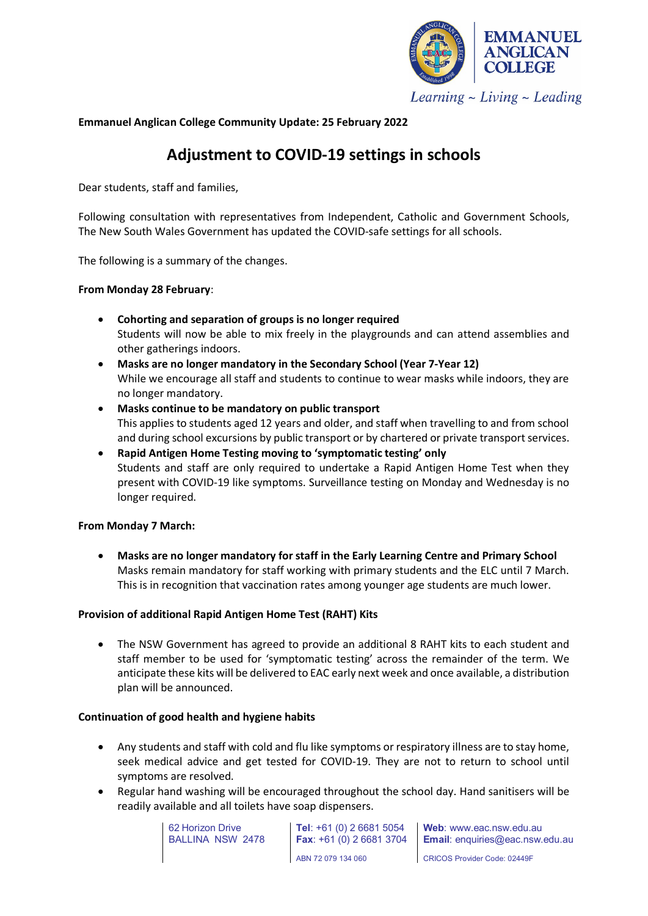

**Emmanuel Anglican College Community Update: 25 February 2022**

# **Adjustment to COVID-19 settings in schools**

Dear students, staff and families,

Following consultation with representatives from Independent, Catholic and Government Schools, The New South Wales Government has updated the COVID-safe settings for all schools.

The following is a summary of the changes.

## **From Monday 28 February**:

- **Cohorting and separation of groups is no longer required** Students will now be able to mix freely in the playgrounds and can attend assemblies and other gatherings indoors.
- **Masks are no longer mandatory in the Secondary School (Year 7-Year 12)** While we encourage all staff and students to continue to wear masks while indoors, they are no longer mandatory.
- **Masks continue to be mandatory on public transport** This applies to students aged 12 years and older, and staff when travelling to and from school and during school excursions by public transport or by chartered or private transport services.
- **Rapid Antigen Home Testing moving to 'symptomatic testing' only** Students and staff are only required to undertake a Rapid Antigen Home Test when they present with COVID-19 like symptoms. Surveillance testing on Monday and Wednesday is no longer required.

# **From Monday 7 March:**

• **Masks are no longer mandatory for staff in the Early Learning Centre and Primary School** Masks remain mandatory for staff working with primary students and the ELC until 7 March. This is in recognition that vaccination rates among younger age students are much lower.

#### **Provision of additional Rapid Antigen Home Test (RAHT) Kits**

• The NSW Government has agreed to provide an additional 8 RAHT kits to each student and staff member to be used for 'symptomatic testing' across the remainder of the term. We anticipate these kits will be delivered to EAC early next week and once available, a distribution plan will be announced.

#### **Continuation of good health and hygiene habits**

- Any students and staff with cold and flu like symptoms or respiratory illness are to stay home, seek medical advice and get tested for COVID-19. They are not to return to school until symptoms are resolved.
- Regular hand washing will be encouraged throughout the school day. Hand sanitisers will be readily available and all toilets have soap dispensers.



**Tel**: +61 (0) 2 6681 5054 **Fax**: +61 (0) 2 6681 3704 ABN 72 079 134 060

**Web**: www.eac.nsw.edu.au **Email**: enquiries@eac.nsw.edu.au

CRICOS Provider Code: 02449F